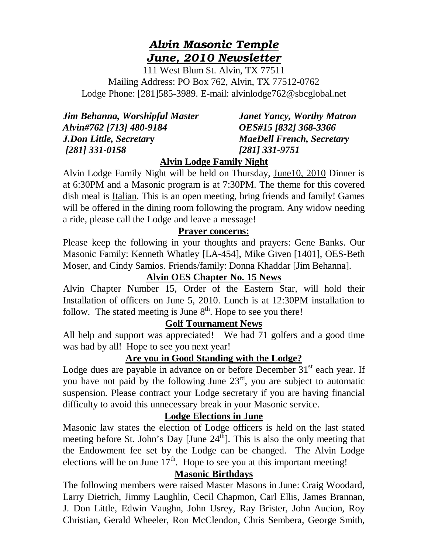# *Alvin Masonic Temple June, 2010 Newsletter*

111 West Blum St. Alvin, TX 77511 Mailing Address: PO Box 762, Alvin, TX 77512-0762 Lodge Phone: [281]585-3989. E-mail: alvinlodge762@sbcglobal.net

|                                | Jim Behanna, Worshipful Master |
|--------------------------------|--------------------------------|
| Alvin#762 [713] 480-9184       |                                |
| <b>J.Don Little, Secretary</b> |                                |
| $[281]$ 331-0158               |                                |

*Janet Yancy, Worthy Matron Alvin#762 [713] 480-9184 OES#15 [832] 368-3366 J.Don Little, Secretar***y** *MaeDell French, Secretary [281] 331-0158 [281] 331-9751* 

## **Alvin Lodge Family Night**

Alvin Lodge Family Night will be held on Thursday, June10, 2010 Dinner is at 6:30PM and a Masonic program is at 7:30PM. The theme for this covered dish meal is Italian. This is an open meeting, bring friends and family! Games will be offered in the dining room following the program. Any widow needing a ride, please call the Lodge and leave a message!

#### **Prayer concerns:**

Please keep the following in your thoughts and prayers: Gene Banks. Our Masonic Family: Kenneth Whatley [LA-454], Mike Given [1401], OES-Beth Moser, and Cindy Samios. Friends/family: Donna Khaddar [Jim Behanna].

## **Alvin OES Chapter No. 15 News**

Alvin Chapter Number 15, Order of the Eastern Star, will hold their Installation of officers on June 5, 2010. Lunch is at 12:30PM installation to follow. The stated meeting is June  $8<sup>th</sup>$ . Hope to see you there!

## **Golf Tournament News**

All help and support was appreciated! We had 71 golfers and a good time was had by all! Hope to see you next year!

## **Are you in Good Standing with the Lodge?**

Lodge dues are payable in advance on or before December  $31<sup>st</sup>$  each year. If you have not paid by the following June  $23<sup>rd</sup>$ , you are subject to automatic suspension. Please contract your Lodge secretary if you are having financial difficulty to avoid this unnecessary break in your Masonic service.

## **Lodge Elections in June**

Masonic law states the election of Lodge officers is held on the last stated meeting before St. John's Day [June  $24<sup>th</sup>$ ]. This is also the only meeting that the Endowment fee set by the Lodge can be changed. The Alvin Lodge elections will be on June  $17<sup>th</sup>$ . Hope to see you at this important meeting!

## **Masonic Birthdays**

The following members were raised Master Masons in June: Craig Woodard, Larry Dietrich, Jimmy Laughlin, Cecil Chapmon, Carl Ellis, James Brannan, J. Don Little, Edwin Vaughn, John Usrey, Ray Brister, John Aucion, Roy Christian, Gerald Wheeler, Ron McClendon, Chris Sembera, George Smith,